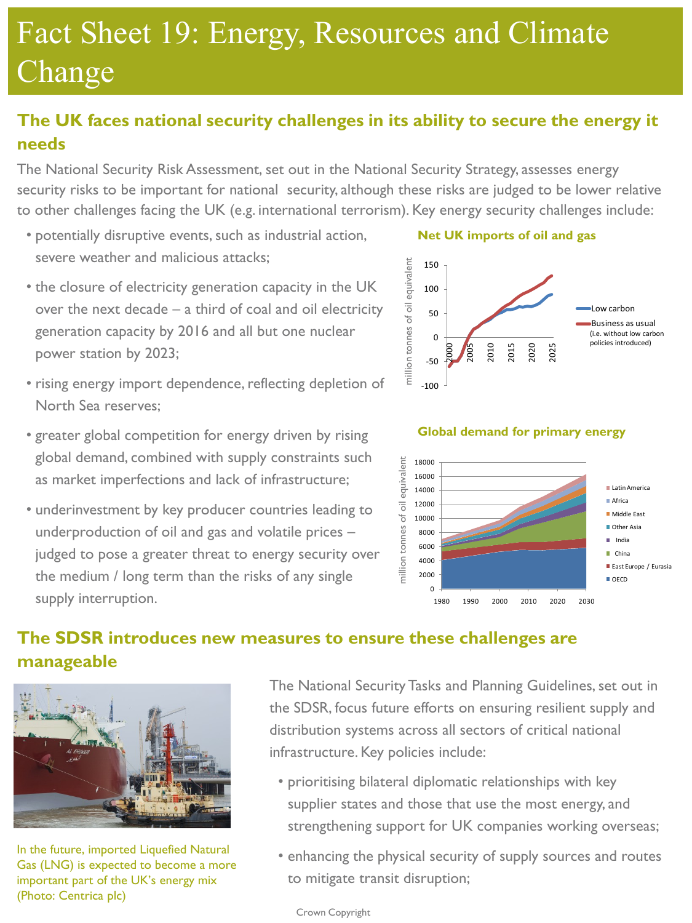# Fact Sheet 19: Energy, Resources and Climate Change

# **The UK faces national security challenges in its ability to secure the energy it needs**

The National Security Risk Assessment, set out in the National Security Strategy, assesses energy security risks to be important for national security, although these risks are judged to be lower relative to other challenges facing the UK (e.g. international terrorism). Key energy security challenges include:

- potentially disruptive events, such as industrial action, severe weather and malicious attacks;
- the closure of electricity generation capacity in the UK over the next decade – a third of coal and oil electricity generation capacity by 2016 and all but one nuclear power station by 2023;
- rising energy import dependence, reflecting depletion of North Sea reserves;
- greater global competition for energy driven by rising global demand, combined with supply constraints such as market imperfections and lack of infrastructure;
- underinvestment by key producer countries leading to underproduction of oil and gas and volatile prices – judged to pose a greater threat to energy security over the medium / long term than the risks of any single supply interruption.

**Net UK imports of oil and gas**





#### **The SDSR introduces new measures to ensure these challenges are manageable**



In the future, imported Liquefied Natural Gas (LNG) is expected to become a more important part of the UK's energy mix (Photo: Centrica plc)

The National Security Tasks and Planning Guidelines, set out in the SDSR, focus future efforts on ensuring resilient supply and distribution systems across all sectors of critical national infrastructure. Key policies include:

- prioritising bilateral diplomatic relationships with key supplier states and those that use the most energy, and strengthening support for UK companies working overseas;
- enhancing the physical security of supply sources and routes to mitigate transit disruption;

Crown Copyright